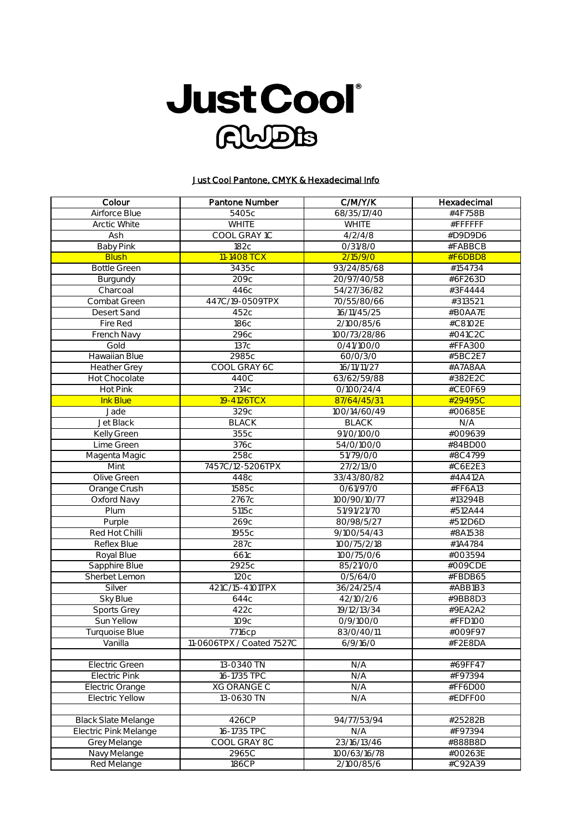

## Just Cool Pantone, CMYK & Hexadecimal Info

| 68/35/17/40<br>Airforce Blue<br>5405c<br>#4F758B<br><b>WHITE</b><br><b>WHITE</b><br>#FFFFFF<br>Arctic White<br>COOL GRAY 1C<br>Ash<br>4/2/4/8<br>#D9D9D6<br><b>Baby Pink</b><br>182c<br>0/31/8/0<br>#FABBCB<br><b>Blush</b><br>11-1408 TCX<br>2/15/9/0<br>#F6DBD8<br><b>Bottle Green</b><br>3435c<br>93/24/85/68<br>#154734<br>#6F263D<br>209с<br>20/97/40/58<br>Burgundy<br>54/27/36/82<br>446c<br>#3F4444<br>Charcoal<br>447C/19-0509TPX<br>#313521<br>Combat Green<br>70/55/80/66<br>Desert Sand<br>452c<br>16/11/45/25<br>#BOAA7E<br>Fire Red<br>186с<br>2/100/85/6<br>#C8102E<br>French Navy<br>296с<br>100/73/28/86<br>#041C2C<br>137c<br>Gold<br>0/41/100/0<br>#FFA300<br><b>Hawaiian Blue</b><br>2985c<br>#5BC2E7<br>60/0/3/0<br>COOL GRAY 6C<br>16/11/11/27<br>#A7A8AA<br><b>Heather Grey</b><br>440C<br>63/62/59/88<br>#382E2C<br><b>Hot Chocolate</b><br>Hot Pink<br>214c<br>0/100/24/4<br>#CEOF69<br>19-4126TCX<br><b>Ink Blue</b><br>87/64/45/31<br>#29495C<br>329c<br>100/14/60/49<br>Jade<br>#00685E<br><b>Jet Black</b><br><b>BLACK</b><br>N/A<br><b>BLACK</b><br><b>Kelly Green</b><br>355c<br>#009639<br>91/0/100/0<br>Lime Green<br>376с<br>54/0/100/0<br>#84BD00<br>258c<br>51/79/0/0<br>#8C4799<br>Magenta Magic<br>7457C/12-5206TPX<br>Mint<br>27/2/13/0<br>#C6E2E3<br>Olive Green<br>33/43/80/82<br>448c<br>#4A412A<br>1585c<br>Orange Crush<br>0/61/97/0<br>#FF6A13<br><b>Oxford Navy</b><br>2767c<br>#13294B<br>100/90/10/77<br>Plum<br>5115c<br>#512A44<br>51/91/21/70<br>269c<br>Purple<br>80/98/5/27<br>#512D6D<br>Red Hot Chilli<br>1955c<br>9/100/54/43<br>#8A1538<br>287c<br>100/75/2/18<br>Reflex Blue<br>#1A4784<br>#003594<br>Royal Blue<br>661c<br>100/75/0/6<br>2925c<br>Sapphire Blue<br>85/21/0/0<br>#009CDE<br>Sherbet Lemon<br>120c<br>0/5/64/0<br>#FBDB65<br>421C/15-4101TPX<br>Silver<br>36/24/25/4<br>#ABB1B3<br>Sky Blue<br>644c<br>42/10/2/6<br>#9BB8D3<br>Sports Grey<br>422c<br>19/12/13/34<br>#9EA2A2<br>Sun Yellow<br>109с<br>0/9/100/0<br>#FFD100<br><b>Turquoise Blue</b><br>7716cp<br>83/0/40/11<br>#009F97<br>#F2E8DA<br>Vanilla<br>11-0606TPX / Coated 7527C<br>6/9/16/0<br>13-0340 TN<br><b>Electric Green</b><br>N/A<br>#69FF47<br>16-1735 TPC<br>Electric Pink<br>N/A<br>#F97394<br><b>XG ORANGE C</b><br>N/A<br>#FF6D00<br>Electric Orange<br>$13 - 0630$ TN<br><b>Electric Yellow</b><br>N/A<br>#EDFFOO<br><b>Black Slate Melange</b><br>426CP<br>94/77/53/94<br>#25282B<br>16-1735 TPC<br>N/A<br>#F97394<br>Electric Pink Melange<br><b>Grey Melange</b><br>COOL GRAY 8C<br>23/16/13/46<br>#888B8D<br>2965C<br>100/63/16/78<br>#00263E<br>Navy Melange<br>186CP<br>2/100/85/6<br>#C92A39<br>Red Melange | Colour | Pantone Number | C/M/Y/K | Hexadecimal |
|---------------------------------------------------------------------------------------------------------------------------------------------------------------------------------------------------------------------------------------------------------------------------------------------------------------------------------------------------------------------------------------------------------------------------------------------------------------------------------------------------------------------------------------------------------------------------------------------------------------------------------------------------------------------------------------------------------------------------------------------------------------------------------------------------------------------------------------------------------------------------------------------------------------------------------------------------------------------------------------------------------------------------------------------------------------------------------------------------------------------------------------------------------------------------------------------------------------------------------------------------------------------------------------------------------------------------------------------------------------------------------------------------------------------------------------------------------------------------------------------------------------------------------------------------------------------------------------------------------------------------------------------------------------------------------------------------------------------------------------------------------------------------------------------------------------------------------------------------------------------------------------------------------------------------------------------------------------------------------------------------------------------------------------------------------------------------------------------------------------------------------------------------------------------------------------------------------------------------------------------------------------------------------------------------------------------------------------------------------------------------------------------------------------------------------------------------------------------------------------------------------------------------------------------------------------------------------------------------------------------------------------------------------------------|--------|----------------|---------|-------------|
|                                                                                                                                                                                                                                                                                                                                                                                                                                                                                                                                                                                                                                                                                                                                                                                                                                                                                                                                                                                                                                                                                                                                                                                                                                                                                                                                                                                                                                                                                                                                                                                                                                                                                                                                                                                                                                                                                                                                                                                                                                                                                                                                                                                                                                                                                                                                                                                                                                                                                                                                                                                                                                                                     |        |                |         |             |
|                                                                                                                                                                                                                                                                                                                                                                                                                                                                                                                                                                                                                                                                                                                                                                                                                                                                                                                                                                                                                                                                                                                                                                                                                                                                                                                                                                                                                                                                                                                                                                                                                                                                                                                                                                                                                                                                                                                                                                                                                                                                                                                                                                                                                                                                                                                                                                                                                                                                                                                                                                                                                                                                     |        |                |         |             |
|                                                                                                                                                                                                                                                                                                                                                                                                                                                                                                                                                                                                                                                                                                                                                                                                                                                                                                                                                                                                                                                                                                                                                                                                                                                                                                                                                                                                                                                                                                                                                                                                                                                                                                                                                                                                                                                                                                                                                                                                                                                                                                                                                                                                                                                                                                                                                                                                                                                                                                                                                                                                                                                                     |        |                |         |             |
|                                                                                                                                                                                                                                                                                                                                                                                                                                                                                                                                                                                                                                                                                                                                                                                                                                                                                                                                                                                                                                                                                                                                                                                                                                                                                                                                                                                                                                                                                                                                                                                                                                                                                                                                                                                                                                                                                                                                                                                                                                                                                                                                                                                                                                                                                                                                                                                                                                                                                                                                                                                                                                                                     |        |                |         |             |
|                                                                                                                                                                                                                                                                                                                                                                                                                                                                                                                                                                                                                                                                                                                                                                                                                                                                                                                                                                                                                                                                                                                                                                                                                                                                                                                                                                                                                                                                                                                                                                                                                                                                                                                                                                                                                                                                                                                                                                                                                                                                                                                                                                                                                                                                                                                                                                                                                                                                                                                                                                                                                                                                     |        |                |         |             |
|                                                                                                                                                                                                                                                                                                                                                                                                                                                                                                                                                                                                                                                                                                                                                                                                                                                                                                                                                                                                                                                                                                                                                                                                                                                                                                                                                                                                                                                                                                                                                                                                                                                                                                                                                                                                                                                                                                                                                                                                                                                                                                                                                                                                                                                                                                                                                                                                                                                                                                                                                                                                                                                                     |        |                |         |             |
|                                                                                                                                                                                                                                                                                                                                                                                                                                                                                                                                                                                                                                                                                                                                                                                                                                                                                                                                                                                                                                                                                                                                                                                                                                                                                                                                                                                                                                                                                                                                                                                                                                                                                                                                                                                                                                                                                                                                                                                                                                                                                                                                                                                                                                                                                                                                                                                                                                                                                                                                                                                                                                                                     |        |                |         |             |
|                                                                                                                                                                                                                                                                                                                                                                                                                                                                                                                                                                                                                                                                                                                                                                                                                                                                                                                                                                                                                                                                                                                                                                                                                                                                                                                                                                                                                                                                                                                                                                                                                                                                                                                                                                                                                                                                                                                                                                                                                                                                                                                                                                                                                                                                                                                                                                                                                                                                                                                                                                                                                                                                     |        |                |         |             |
|                                                                                                                                                                                                                                                                                                                                                                                                                                                                                                                                                                                                                                                                                                                                                                                                                                                                                                                                                                                                                                                                                                                                                                                                                                                                                                                                                                                                                                                                                                                                                                                                                                                                                                                                                                                                                                                                                                                                                                                                                                                                                                                                                                                                                                                                                                                                                                                                                                                                                                                                                                                                                                                                     |        |                |         |             |
|                                                                                                                                                                                                                                                                                                                                                                                                                                                                                                                                                                                                                                                                                                                                                                                                                                                                                                                                                                                                                                                                                                                                                                                                                                                                                                                                                                                                                                                                                                                                                                                                                                                                                                                                                                                                                                                                                                                                                                                                                                                                                                                                                                                                                                                                                                                                                                                                                                                                                                                                                                                                                                                                     |        |                |         |             |
|                                                                                                                                                                                                                                                                                                                                                                                                                                                                                                                                                                                                                                                                                                                                                                                                                                                                                                                                                                                                                                                                                                                                                                                                                                                                                                                                                                                                                                                                                                                                                                                                                                                                                                                                                                                                                                                                                                                                                                                                                                                                                                                                                                                                                                                                                                                                                                                                                                                                                                                                                                                                                                                                     |        |                |         |             |
|                                                                                                                                                                                                                                                                                                                                                                                                                                                                                                                                                                                                                                                                                                                                                                                                                                                                                                                                                                                                                                                                                                                                                                                                                                                                                                                                                                                                                                                                                                                                                                                                                                                                                                                                                                                                                                                                                                                                                                                                                                                                                                                                                                                                                                                                                                                                                                                                                                                                                                                                                                                                                                                                     |        |                |         |             |
|                                                                                                                                                                                                                                                                                                                                                                                                                                                                                                                                                                                                                                                                                                                                                                                                                                                                                                                                                                                                                                                                                                                                                                                                                                                                                                                                                                                                                                                                                                                                                                                                                                                                                                                                                                                                                                                                                                                                                                                                                                                                                                                                                                                                                                                                                                                                                                                                                                                                                                                                                                                                                                                                     |        |                |         |             |
|                                                                                                                                                                                                                                                                                                                                                                                                                                                                                                                                                                                                                                                                                                                                                                                                                                                                                                                                                                                                                                                                                                                                                                                                                                                                                                                                                                                                                                                                                                                                                                                                                                                                                                                                                                                                                                                                                                                                                                                                                                                                                                                                                                                                                                                                                                                                                                                                                                                                                                                                                                                                                                                                     |        |                |         |             |
|                                                                                                                                                                                                                                                                                                                                                                                                                                                                                                                                                                                                                                                                                                                                                                                                                                                                                                                                                                                                                                                                                                                                                                                                                                                                                                                                                                                                                                                                                                                                                                                                                                                                                                                                                                                                                                                                                                                                                                                                                                                                                                                                                                                                                                                                                                                                                                                                                                                                                                                                                                                                                                                                     |        |                |         |             |
|                                                                                                                                                                                                                                                                                                                                                                                                                                                                                                                                                                                                                                                                                                                                                                                                                                                                                                                                                                                                                                                                                                                                                                                                                                                                                                                                                                                                                                                                                                                                                                                                                                                                                                                                                                                                                                                                                                                                                                                                                                                                                                                                                                                                                                                                                                                                                                                                                                                                                                                                                                                                                                                                     |        |                |         |             |
|                                                                                                                                                                                                                                                                                                                                                                                                                                                                                                                                                                                                                                                                                                                                                                                                                                                                                                                                                                                                                                                                                                                                                                                                                                                                                                                                                                                                                                                                                                                                                                                                                                                                                                                                                                                                                                                                                                                                                                                                                                                                                                                                                                                                                                                                                                                                                                                                                                                                                                                                                                                                                                                                     |        |                |         |             |
|                                                                                                                                                                                                                                                                                                                                                                                                                                                                                                                                                                                                                                                                                                                                                                                                                                                                                                                                                                                                                                                                                                                                                                                                                                                                                                                                                                                                                                                                                                                                                                                                                                                                                                                                                                                                                                                                                                                                                                                                                                                                                                                                                                                                                                                                                                                                                                                                                                                                                                                                                                                                                                                                     |        |                |         |             |
|                                                                                                                                                                                                                                                                                                                                                                                                                                                                                                                                                                                                                                                                                                                                                                                                                                                                                                                                                                                                                                                                                                                                                                                                                                                                                                                                                                                                                                                                                                                                                                                                                                                                                                                                                                                                                                                                                                                                                                                                                                                                                                                                                                                                                                                                                                                                                                                                                                                                                                                                                                                                                                                                     |        |                |         |             |
|                                                                                                                                                                                                                                                                                                                                                                                                                                                                                                                                                                                                                                                                                                                                                                                                                                                                                                                                                                                                                                                                                                                                                                                                                                                                                                                                                                                                                                                                                                                                                                                                                                                                                                                                                                                                                                                                                                                                                                                                                                                                                                                                                                                                                                                                                                                                                                                                                                                                                                                                                                                                                                                                     |        |                |         |             |
|                                                                                                                                                                                                                                                                                                                                                                                                                                                                                                                                                                                                                                                                                                                                                                                                                                                                                                                                                                                                                                                                                                                                                                                                                                                                                                                                                                                                                                                                                                                                                                                                                                                                                                                                                                                                                                                                                                                                                                                                                                                                                                                                                                                                                                                                                                                                                                                                                                                                                                                                                                                                                                                                     |        |                |         |             |
|                                                                                                                                                                                                                                                                                                                                                                                                                                                                                                                                                                                                                                                                                                                                                                                                                                                                                                                                                                                                                                                                                                                                                                                                                                                                                                                                                                                                                                                                                                                                                                                                                                                                                                                                                                                                                                                                                                                                                                                                                                                                                                                                                                                                                                                                                                                                                                                                                                                                                                                                                                                                                                                                     |        |                |         |             |
|                                                                                                                                                                                                                                                                                                                                                                                                                                                                                                                                                                                                                                                                                                                                                                                                                                                                                                                                                                                                                                                                                                                                                                                                                                                                                                                                                                                                                                                                                                                                                                                                                                                                                                                                                                                                                                                                                                                                                                                                                                                                                                                                                                                                                                                                                                                                                                                                                                                                                                                                                                                                                                                                     |        |                |         |             |
|                                                                                                                                                                                                                                                                                                                                                                                                                                                                                                                                                                                                                                                                                                                                                                                                                                                                                                                                                                                                                                                                                                                                                                                                                                                                                                                                                                                                                                                                                                                                                                                                                                                                                                                                                                                                                                                                                                                                                                                                                                                                                                                                                                                                                                                                                                                                                                                                                                                                                                                                                                                                                                                                     |        |                |         |             |
|                                                                                                                                                                                                                                                                                                                                                                                                                                                                                                                                                                                                                                                                                                                                                                                                                                                                                                                                                                                                                                                                                                                                                                                                                                                                                                                                                                                                                                                                                                                                                                                                                                                                                                                                                                                                                                                                                                                                                                                                                                                                                                                                                                                                                                                                                                                                                                                                                                                                                                                                                                                                                                                                     |        |                |         |             |
|                                                                                                                                                                                                                                                                                                                                                                                                                                                                                                                                                                                                                                                                                                                                                                                                                                                                                                                                                                                                                                                                                                                                                                                                                                                                                                                                                                                                                                                                                                                                                                                                                                                                                                                                                                                                                                                                                                                                                                                                                                                                                                                                                                                                                                                                                                                                                                                                                                                                                                                                                                                                                                                                     |        |                |         |             |
|                                                                                                                                                                                                                                                                                                                                                                                                                                                                                                                                                                                                                                                                                                                                                                                                                                                                                                                                                                                                                                                                                                                                                                                                                                                                                                                                                                                                                                                                                                                                                                                                                                                                                                                                                                                                                                                                                                                                                                                                                                                                                                                                                                                                                                                                                                                                                                                                                                                                                                                                                                                                                                                                     |        |                |         |             |
|                                                                                                                                                                                                                                                                                                                                                                                                                                                                                                                                                                                                                                                                                                                                                                                                                                                                                                                                                                                                                                                                                                                                                                                                                                                                                                                                                                                                                                                                                                                                                                                                                                                                                                                                                                                                                                                                                                                                                                                                                                                                                                                                                                                                                                                                                                                                                                                                                                                                                                                                                                                                                                                                     |        |                |         |             |
|                                                                                                                                                                                                                                                                                                                                                                                                                                                                                                                                                                                                                                                                                                                                                                                                                                                                                                                                                                                                                                                                                                                                                                                                                                                                                                                                                                                                                                                                                                                                                                                                                                                                                                                                                                                                                                                                                                                                                                                                                                                                                                                                                                                                                                                                                                                                                                                                                                                                                                                                                                                                                                                                     |        |                |         |             |
|                                                                                                                                                                                                                                                                                                                                                                                                                                                                                                                                                                                                                                                                                                                                                                                                                                                                                                                                                                                                                                                                                                                                                                                                                                                                                                                                                                                                                                                                                                                                                                                                                                                                                                                                                                                                                                                                                                                                                                                                                                                                                                                                                                                                                                                                                                                                                                                                                                                                                                                                                                                                                                                                     |        |                |         |             |
|                                                                                                                                                                                                                                                                                                                                                                                                                                                                                                                                                                                                                                                                                                                                                                                                                                                                                                                                                                                                                                                                                                                                                                                                                                                                                                                                                                                                                                                                                                                                                                                                                                                                                                                                                                                                                                                                                                                                                                                                                                                                                                                                                                                                                                                                                                                                                                                                                                                                                                                                                                                                                                                                     |        |                |         |             |
|                                                                                                                                                                                                                                                                                                                                                                                                                                                                                                                                                                                                                                                                                                                                                                                                                                                                                                                                                                                                                                                                                                                                                                                                                                                                                                                                                                                                                                                                                                                                                                                                                                                                                                                                                                                                                                                                                                                                                                                                                                                                                                                                                                                                                                                                                                                                                                                                                                                                                                                                                                                                                                                                     |        |                |         |             |
|                                                                                                                                                                                                                                                                                                                                                                                                                                                                                                                                                                                                                                                                                                                                                                                                                                                                                                                                                                                                                                                                                                                                                                                                                                                                                                                                                                                                                                                                                                                                                                                                                                                                                                                                                                                                                                                                                                                                                                                                                                                                                                                                                                                                                                                                                                                                                                                                                                                                                                                                                                                                                                                                     |        |                |         |             |
|                                                                                                                                                                                                                                                                                                                                                                                                                                                                                                                                                                                                                                                                                                                                                                                                                                                                                                                                                                                                                                                                                                                                                                                                                                                                                                                                                                                                                                                                                                                                                                                                                                                                                                                                                                                                                                                                                                                                                                                                                                                                                                                                                                                                                                                                                                                                                                                                                                                                                                                                                                                                                                                                     |        |                |         |             |
|                                                                                                                                                                                                                                                                                                                                                                                                                                                                                                                                                                                                                                                                                                                                                                                                                                                                                                                                                                                                                                                                                                                                                                                                                                                                                                                                                                                                                                                                                                                                                                                                                                                                                                                                                                                                                                                                                                                                                                                                                                                                                                                                                                                                                                                                                                                                                                                                                                                                                                                                                                                                                                                                     |        |                |         |             |
|                                                                                                                                                                                                                                                                                                                                                                                                                                                                                                                                                                                                                                                                                                                                                                                                                                                                                                                                                                                                                                                                                                                                                                                                                                                                                                                                                                                                                                                                                                                                                                                                                                                                                                                                                                                                                                                                                                                                                                                                                                                                                                                                                                                                                                                                                                                                                                                                                                                                                                                                                                                                                                                                     |        |                |         |             |
|                                                                                                                                                                                                                                                                                                                                                                                                                                                                                                                                                                                                                                                                                                                                                                                                                                                                                                                                                                                                                                                                                                                                                                                                                                                                                                                                                                                                                                                                                                                                                                                                                                                                                                                                                                                                                                                                                                                                                                                                                                                                                                                                                                                                                                                                                                                                                                                                                                                                                                                                                                                                                                                                     |        |                |         |             |
|                                                                                                                                                                                                                                                                                                                                                                                                                                                                                                                                                                                                                                                                                                                                                                                                                                                                                                                                                                                                                                                                                                                                                                                                                                                                                                                                                                                                                                                                                                                                                                                                                                                                                                                                                                                                                                                                                                                                                                                                                                                                                                                                                                                                                                                                                                                                                                                                                                                                                                                                                                                                                                                                     |        |                |         |             |
|                                                                                                                                                                                                                                                                                                                                                                                                                                                                                                                                                                                                                                                                                                                                                                                                                                                                                                                                                                                                                                                                                                                                                                                                                                                                                                                                                                                                                                                                                                                                                                                                                                                                                                                                                                                                                                                                                                                                                                                                                                                                                                                                                                                                                                                                                                                                                                                                                                                                                                                                                                                                                                                                     |        |                |         |             |
|                                                                                                                                                                                                                                                                                                                                                                                                                                                                                                                                                                                                                                                                                                                                                                                                                                                                                                                                                                                                                                                                                                                                                                                                                                                                                                                                                                                                                                                                                                                                                                                                                                                                                                                                                                                                                                                                                                                                                                                                                                                                                                                                                                                                                                                                                                                                                                                                                                                                                                                                                                                                                                                                     |        |                |         |             |
|                                                                                                                                                                                                                                                                                                                                                                                                                                                                                                                                                                                                                                                                                                                                                                                                                                                                                                                                                                                                                                                                                                                                                                                                                                                                                                                                                                                                                                                                                                                                                                                                                                                                                                                                                                                                                                                                                                                                                                                                                                                                                                                                                                                                                                                                                                                                                                                                                                                                                                                                                                                                                                                                     |        |                |         |             |
|                                                                                                                                                                                                                                                                                                                                                                                                                                                                                                                                                                                                                                                                                                                                                                                                                                                                                                                                                                                                                                                                                                                                                                                                                                                                                                                                                                                                                                                                                                                                                                                                                                                                                                                                                                                                                                                                                                                                                                                                                                                                                                                                                                                                                                                                                                                                                                                                                                                                                                                                                                                                                                                                     |        |                |         |             |
|                                                                                                                                                                                                                                                                                                                                                                                                                                                                                                                                                                                                                                                                                                                                                                                                                                                                                                                                                                                                                                                                                                                                                                                                                                                                                                                                                                                                                                                                                                                                                                                                                                                                                                                                                                                                                                                                                                                                                                                                                                                                                                                                                                                                                                                                                                                                                                                                                                                                                                                                                                                                                                                                     |        |                |         |             |
|                                                                                                                                                                                                                                                                                                                                                                                                                                                                                                                                                                                                                                                                                                                                                                                                                                                                                                                                                                                                                                                                                                                                                                                                                                                                                                                                                                                                                                                                                                                                                                                                                                                                                                                                                                                                                                                                                                                                                                                                                                                                                                                                                                                                                                                                                                                                                                                                                                                                                                                                                                                                                                                                     |        |                |         |             |
|                                                                                                                                                                                                                                                                                                                                                                                                                                                                                                                                                                                                                                                                                                                                                                                                                                                                                                                                                                                                                                                                                                                                                                                                                                                                                                                                                                                                                                                                                                                                                                                                                                                                                                                                                                                                                                                                                                                                                                                                                                                                                                                                                                                                                                                                                                                                                                                                                                                                                                                                                                                                                                                                     |        |                |         |             |
|                                                                                                                                                                                                                                                                                                                                                                                                                                                                                                                                                                                                                                                                                                                                                                                                                                                                                                                                                                                                                                                                                                                                                                                                                                                                                                                                                                                                                                                                                                                                                                                                                                                                                                                                                                                                                                                                                                                                                                                                                                                                                                                                                                                                                                                                                                                                                                                                                                                                                                                                                                                                                                                                     |        |                |         |             |
|                                                                                                                                                                                                                                                                                                                                                                                                                                                                                                                                                                                                                                                                                                                                                                                                                                                                                                                                                                                                                                                                                                                                                                                                                                                                                                                                                                                                                                                                                                                                                                                                                                                                                                                                                                                                                                                                                                                                                                                                                                                                                                                                                                                                                                                                                                                                                                                                                                                                                                                                                                                                                                                                     |        |                |         |             |
|                                                                                                                                                                                                                                                                                                                                                                                                                                                                                                                                                                                                                                                                                                                                                                                                                                                                                                                                                                                                                                                                                                                                                                                                                                                                                                                                                                                                                                                                                                                                                                                                                                                                                                                                                                                                                                                                                                                                                                                                                                                                                                                                                                                                                                                                                                                                                                                                                                                                                                                                                                                                                                                                     |        |                |         |             |
|                                                                                                                                                                                                                                                                                                                                                                                                                                                                                                                                                                                                                                                                                                                                                                                                                                                                                                                                                                                                                                                                                                                                                                                                                                                                                                                                                                                                                                                                                                                                                                                                                                                                                                                                                                                                                                                                                                                                                                                                                                                                                                                                                                                                                                                                                                                                                                                                                                                                                                                                                                                                                                                                     |        |                |         |             |
|                                                                                                                                                                                                                                                                                                                                                                                                                                                                                                                                                                                                                                                                                                                                                                                                                                                                                                                                                                                                                                                                                                                                                                                                                                                                                                                                                                                                                                                                                                                                                                                                                                                                                                                                                                                                                                                                                                                                                                                                                                                                                                                                                                                                                                                                                                                                                                                                                                                                                                                                                                                                                                                                     |        |                |         |             |